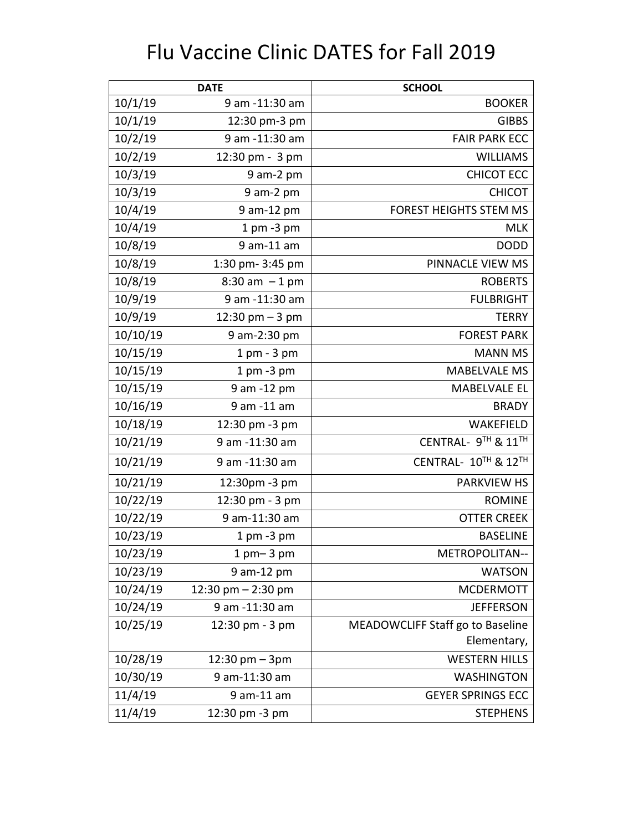## Flu Vaccine Clinic DATES for Fall 2019

| <b>DATE</b> |                                  | <b>SCHOOL</b>                    |
|-------------|----------------------------------|----------------------------------|
| 10/1/19     | 9 am -11:30 am                   | <b>BOOKER</b>                    |
| 10/1/19     | 12:30 pm-3 pm                    | <b>GIBBS</b>                     |
| 10/2/19     | 9 am -11:30 am                   | <b>FAIR PARK ECC</b>             |
| 10/2/19     | 12:30 pm - 3 pm                  | <b>WILLIAMS</b>                  |
| 10/3/19     | $9$ am- $2$ pm                   | <b>CHICOT ECC</b>                |
| 10/3/19     | 9 am-2 pm                        | <b>CHICOT</b>                    |
| 10/4/19     | 9 am-12 pm                       | FOREST HEIGHTS STEM MS           |
| 10/4/19     | $1$ pm $-3$ pm                   | <b>MLK</b>                       |
| 10/8/19     | 9 am-11 am                       | <b>DODD</b>                      |
| 10/8/19     | 1:30 pm-3:45 pm                  | PINNACLE VIEW MS                 |
| 10/8/19     | $8:30$ am $-1$ pm                | <b>ROBERTS</b>                   |
| 10/9/19     | 9 am -11:30 am                   | <b>FULBRIGHT</b>                 |
| 10/9/19     | 12:30 pm $-3$ pm                 | <b>TERRY</b>                     |
| 10/10/19    | 9 am-2:30 pm                     | <b>FOREST PARK</b>               |
| 10/15/19    | $1$ pm $-3$ pm                   | <b>MANN MS</b>                   |
| 10/15/19    | $1$ pm $-3$ pm                   | <b>MABELVALE MS</b>              |
| 10/15/19    | 9 am -12 pm                      | <b>MABELVALE EL</b>              |
| 10/16/19    | 9 am -11 am                      | <b>BRADY</b>                     |
| 10/18/19    | 12:30 pm -3 pm                   | WAKEFIELD                        |
| 10/21/19    | 9 am -11:30 am                   | CENTRAL- 9TH & 11TH              |
| 10/21/19    | 9 am -11:30 am                   | CENTRAL- 10TH & 12TH             |
| 10/21/19    | 12:30pm -3 pm                    | <b>PARKVIEW HS</b>               |
| 10/22/19    | 12:30 pm - 3 pm                  | <b>ROMINE</b>                    |
| 10/22/19    | 9 am-11:30 am                    | <b>OTTER CREEK</b>               |
| 10/23/19    | $1$ pm $-3$ pm                   | <b>BASELINE</b>                  |
| 10/23/19    | $1$ pm $-$ 3 pm                  | METROPOLITAN--                   |
| 10/23/19    | 9 am-12 pm                       | <b>WATSON</b>                    |
| 10/24/19    | 12:30 pm $-$ 2:30 pm             | <b>MCDERMOTT</b>                 |
| 10/24/19    | 9 am -11:30 am                   | <b>JEFFERSON</b>                 |
| 10/25/19    | 12:30 pm - 3 pm                  | MEADOWCLIFF Staff go to Baseline |
|             |                                  | Elementary,                      |
| 10/28/19    | $12:30 \text{ pm} - 3 \text{pm}$ | <b>WESTERN HILLS</b>             |
| 10/30/19    | 9 am-11:30 am                    | <b>WASHINGTON</b>                |
| 11/4/19     | 9 am-11 am                       | <b>GEYER SPRINGS ECC</b>         |
| 11/4/19     | 12:30 pm -3 pm                   | <b>STEPHENS</b>                  |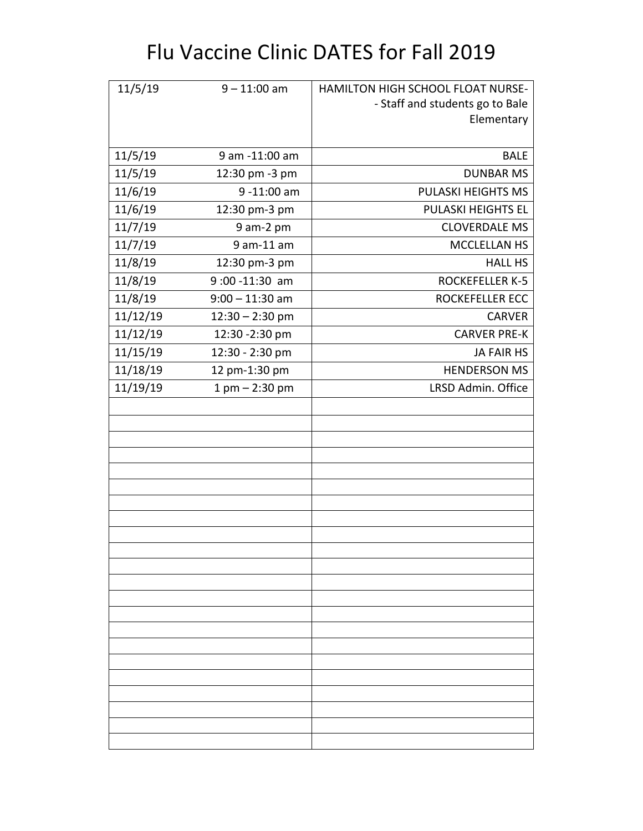## Flu Vaccine Clinic DATES for Fall 2019

| 11/5/19  | $9 - 11:00$ am     | HAMILTON HIGH SCHOOL FLOAT NURSE- |
|----------|--------------------|-----------------------------------|
|          |                    | - Staff and students go to Bale   |
|          |                    | Elementary                        |
|          |                    |                                   |
| 11/5/19  | 9 am -11:00 am     | <b>BALE</b>                       |
| 11/5/19  | 12:30 pm -3 pm     | <b>DUNBAR MS</b>                  |
| 11/6/19  | 9-11:00 am         | PULASKI HEIGHTS MS                |
| 11/6/19  | 12:30 pm-3 pm      | PULASKI HEIGHTS EL                |
| 11/7/19  | $9$ am- $2$ pm     | <b>CLOVERDALE MS</b>              |
| 11/7/19  | 9 am-11 am         | MCCLELLAN HS                      |
| 11/8/19  | 12:30 pm-3 pm      | <b>HALL HS</b>                    |
| 11/8/19  | 9:00-11:30 am      | <b>ROCKEFELLER K-5</b>            |
| 11/8/19  | $9:00 - 11:30$ am  | <b>ROCKEFELLER ECC</b>            |
| 11/12/19 | $12:30 - 2:30$ pm  | <b>CARVER</b>                     |
| 11/12/19 | 12:30 - 2:30 pm    | <b>CARVER PRE-K</b>               |
| 11/15/19 | 12:30 - 2:30 pm    | <b>JA FAIR HS</b>                 |
| 11/18/19 | 12 pm-1:30 pm      | <b>HENDERSON MS</b>               |
| 11/19/19 | $1$ pm $- 2:30$ pm | LRSD Admin. Office                |
|          |                    |                                   |
|          |                    |                                   |
|          |                    |                                   |
|          |                    |                                   |
|          |                    |                                   |
|          |                    |                                   |
|          |                    |                                   |
|          |                    |                                   |
|          |                    |                                   |
|          |                    |                                   |
|          |                    |                                   |
|          |                    |                                   |
|          |                    |                                   |
|          |                    |                                   |
|          |                    |                                   |
|          |                    |                                   |
|          |                    |                                   |
|          |                    |                                   |
|          |                    |                                   |
|          |                    |                                   |